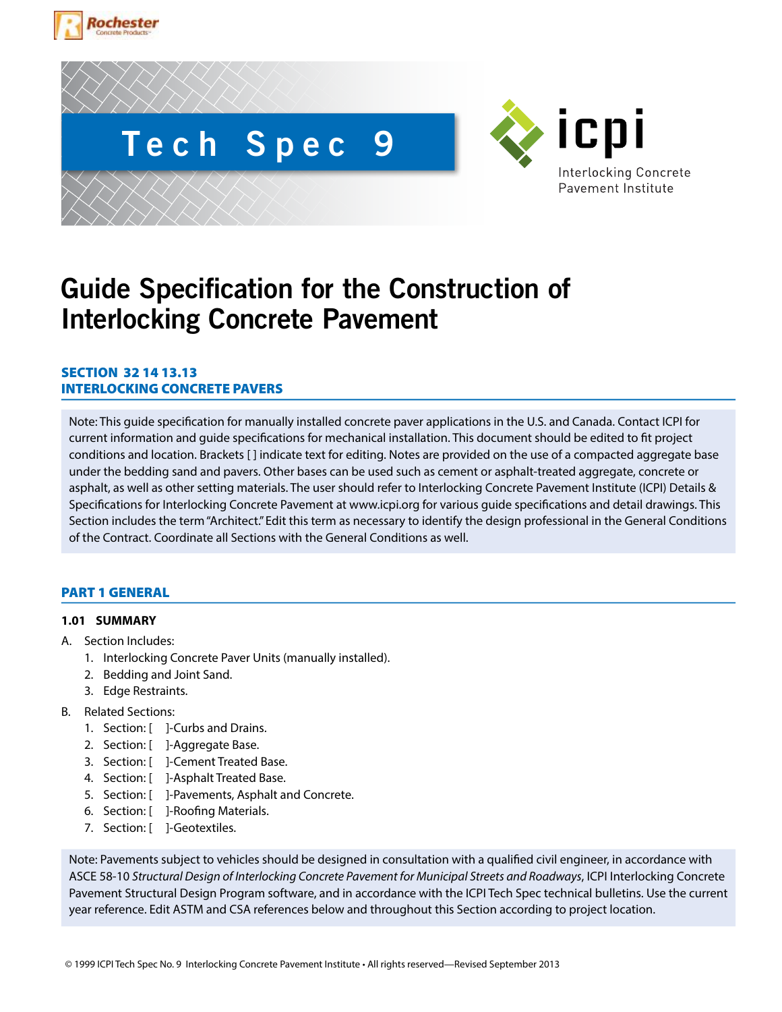





# **Guide Specification for the Construction of Interlocking Concrete Pavement**

# SECTION 32 14 13.13 INTERLOCKING CONCRETE PAVERS

Note: This guide specification for manually installed concrete paver applications in the U.S. and Canada. Contact ICPI for current information and guide specifications for mechanical installation. This document should be edited to fit project conditions and location. Brackets [] indicate text for editing. Notes are provided on the use of a compacted aggregate base under the bedding sand and pavers. Other bases can be used such as cement or asphalt-treated aggregate, concrete or asphalt, as well as other setting materials. The user should refer to Interlocking Concrete Pavement Institute (ICPI) Details & Specifications for Interlocking Concrete Pavement at www.icpi.org for various guide specifications and detail drawings. This Section includes the term "Architect." Edit this term as necessary to identify the design professional in the General Conditions of the Contract. Coordinate all Sections with the General Conditions as well.

# PART 1 GENERAL

# **1.01 SUMMARY**

- A. Section Includes:
	- 1. Interlocking Concrete Paver Units (manually installed).
	- 2. Bedding and Joint Sand.
	- 3. Edge Restraints.
- B. Related Sections:
	- 1. Section: [ ]-Curbs and Drains.
	- 2. Section: [ ]-Aggregate Base.
	- 3. Section: [ ]-Cement Treated Base.
	- 4. Section: [ ]-Asphalt Treated Base.
	- 5. Section: [ ]-Pavements, Asphalt and Concrete.
	- 6. Section: [ ]-Roofing Materials.
	- 7. Section: [ ]-Geotextiles.

Note: Pavements subject to vehicles should be designed in consultation with a qualified civil engineer, in accordance with ASCE 58-10 *Structural Design of Interlocking Concrete Pavement for Municipal Streets and Roadways*, ICPI Interlocking Concrete Pavement Structural Design Program software, and in accordance with the ICPI Tech Spec technical bulletins. Use the current year reference. Edit ASTM and CSA references below and throughout this Section according to project location.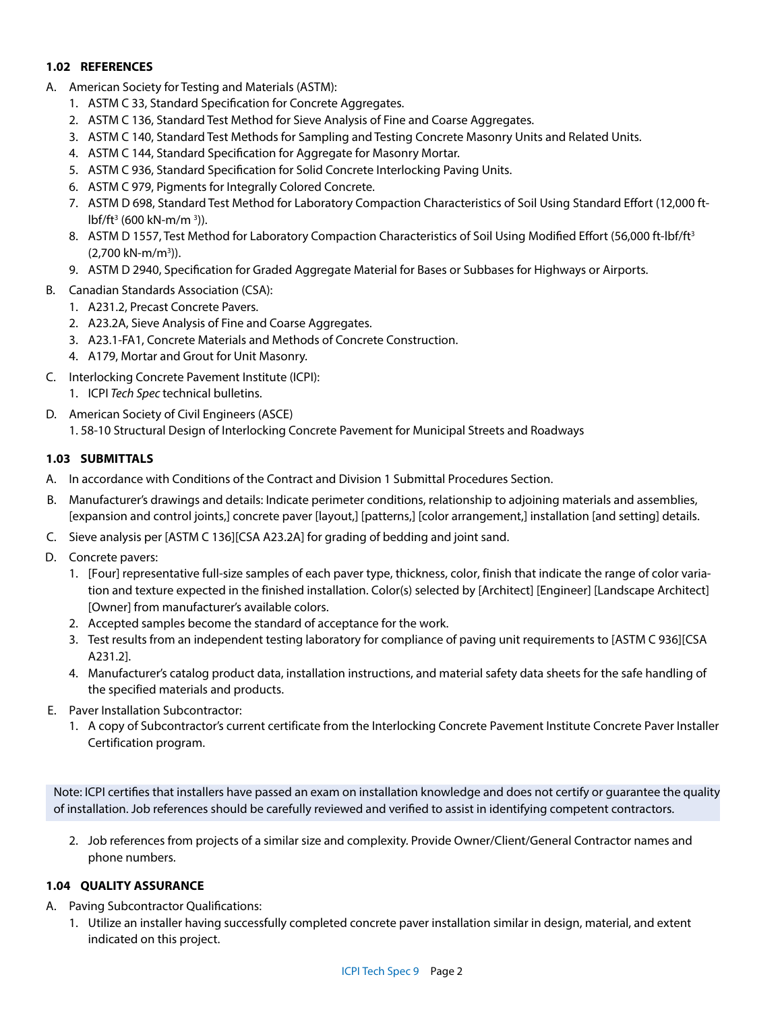# **1.02 REFERENCES**

- A. American Society for Testing and Materials (ASTM):
	- 1. ASTM C 33, Standard Specification for Concrete Aggregates.
	- 2. ASTM C 136, Standard Test Method for Sieve Analysis of Fine and Coarse Aggregates.
	- 3. ASTM C 140, Standard Test Methods for Sampling and Testing Concrete Masonry Units and Related Units.
	- 4. ASTM C 144, Standard Specification for Aggregate for Masonry Mortar.
	- 5. ASTM C 936, Standard Specification for Solid Concrete Interlocking Paving Units.
	- 6. ASTM C 979, Pigments for Integrally Colored Concrete.
	- 7. ASTM D 698, Standard Test Method for Laboratory Compaction Characteristics of Soil Using Standard Effort (12,000 ftlbf/ft3 (600 kN-m/m 3 )).
	- 8. ASTM D 1557, Test Method for Laboratory Compaction Characteristics of Soil Using Modified Effort (56,000 ft-lbf/ft<sup>3</sup> (2,700 kN-m/m3 )).
	- 9. ASTM D 2940, Specification for Graded Aggregate Material for Bases or Subbases for Highways or Airports.
- B. Canadian Standards Association (CSA):
	- 1. A231.2, Precast Concrete Pavers.
	- 2. A23.2A, Sieve Analysis of Fine and Coarse Aggregates.
	- 3. A23.1-FA1, Concrete Materials and Methods of Concrete Construction.
	- 4. A179, Mortar and Grout for Unit Masonry.
- C. Interlocking Concrete Pavement Institute (ICPI):
- 1. ICPI *Tech Spec* technical bulletins.
- D. American Society of Civil Engineers (ASCE)
	- 1. 58-10 Structural Design of Interlocking Concrete Pavement for Municipal Streets and Roadways

# **1.03 SUBMITTALS**

- A. In accordance with Conditions of the Contract and Division 1 Submittal Procedures Section.
- B. Manufacturer's drawings and details: Indicate perimeter conditions, relationship to adjoining materials and assemblies, [expansion and control joints,] concrete paver [layout,] [patterns,] [color arrangement,] installation [and setting] details.
- C. Sieve analysis per [ASTM C 136][CSA A23.2A] for grading of bedding and joint sand.
- D. Concrete pavers:
	- 1. [Four] representative full-size samples of each paver type, thickness, color, finish that indicate the range of color variation and texture expected in the finished installation. Color(s) selected by [Architect] [Engineer] [Landscape Architect] [Owner] from manufacturer's available colors.
	- 2. Accepted samples become the standard of acceptance for the work.
	- 3. Test results from an independent testing laboratory for compliance of paving unit requirements to [ASTM C 936][CSA A231.2].
	- 4. Manufacturer's catalog product data, installation instructions, and material safety data sheets for the safe handling of the specified materials and products.
- E. Paver Installation Subcontractor:
	- 1. A copy of Subcontractor's current certificate from the Interlocking Concrete Pavement Institute Concrete Paver Installer Certification program.

Note: ICPI certifies that installers have passed an exam on installation knowledge and does not certify or guarantee the quality of installation. Job references should be carefully reviewed and verified to assist in identifying competent contractors.

2. Job references from projects of a similar size and complexity. Provide Owner/Client/General Contractor names and phone numbers.

# **1.04 QUALITY ASSURANCE**

- A. Paving Subcontractor Qualifications:
	- 1. Utilize an installer having successfully completed concrete paver installation similar in design, material, and extent indicated on this project.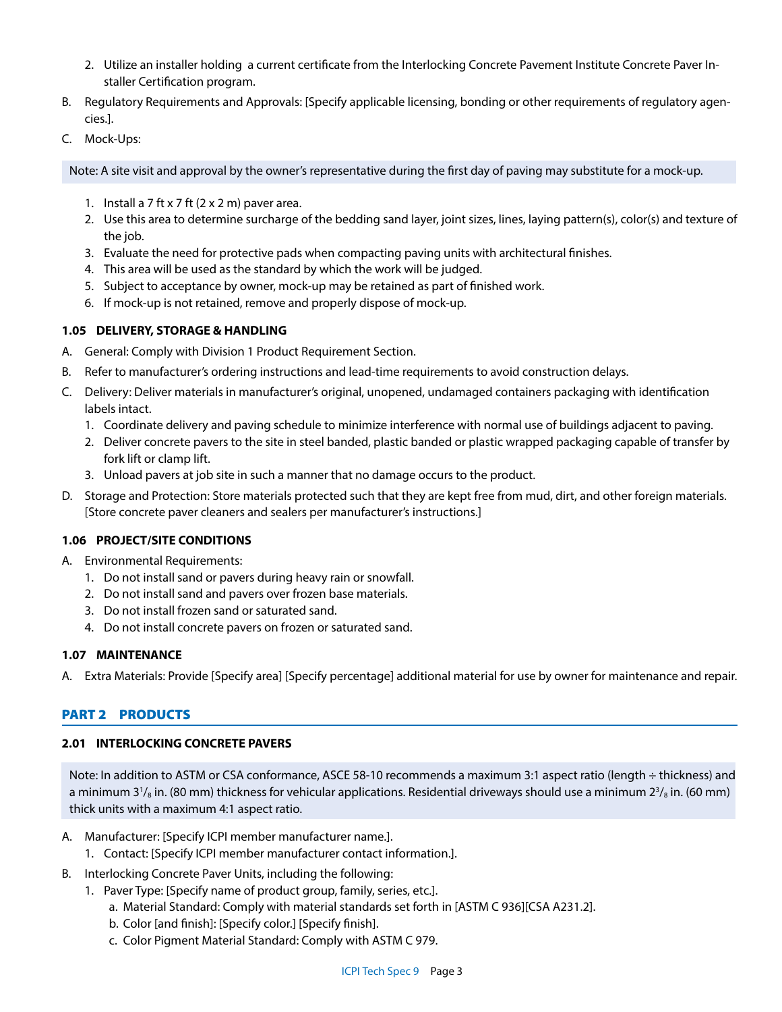- 2. Utilize an installer holding a current certificate from the Interlocking Concrete Pavement Institute Concrete Paver Installer Certification program.
- B. Regulatory Requirements and Approvals: [Specify applicable licensing, bonding or other requirements of regulatory agencies.].
- C. Mock-Ups:

Note: A site visit and approval by the owner's representative during the first day of paving may substitute for a mock-up.

- 1. Install a 7 ft x 7 ft  $(2 \times 2 \text{ m})$  paver area.
- 2. Use this area to determine surcharge of the bedding sand layer, joint sizes, lines, laying pattern(s), color(s) and texture of the job.
- 3. Evaluate the need for protective pads when compacting paving units with architectural finishes.
- 4. This area will be used as the standard by which the work will be judged.
- 5. Subject to acceptance by owner, mock-up may be retained as part of finished work.
- 6. If mock-up is not retained, remove and properly dispose of mock-up.

# **1.05 DELIVERY, STORAGE & HANDLING**

- A. General: Comply with Division 1 Product Requirement Section.
- B. Refer to manufacturer's ordering instructions and lead-time requirements to avoid construction delays.
- C. Delivery: Deliver materials in manufacturer's original, unopened, undamaged containers packaging with identification labels intact.
	- 1. Coordinate delivery and paving schedule to minimize interference with normal use of buildings adjacent to paving.
	- 2. Deliver concrete pavers to the site in steel banded, plastic banded or plastic wrapped packaging capable of transfer by fork lift or clamp lift.
	- 3. Unload pavers at job site in such a manner that no damage occurs to the product.
- D. Storage and Protection: Store materials protected such that they are kept free from mud, dirt, and other foreign materials. [Store concrete paver cleaners and sealers per manufacturer's instructions.]

# **1.06 PROJECT/SITE CONDITIONS**

- A. Environmental Requirements:
	- 1. Do not install sand or pavers during heavy rain or snowfall.
	- 2. Do not install sand and pavers over frozen base materials.
	- 3. Do not install frozen sand or saturated sand.
	- 4. Do not install concrete pavers on frozen or saturated sand.

# **1.07 MAINTENANCE**

A. Extra Materials: Provide [Specify area] [Specify percentage] additional material for use by owner for maintenance and repair.

# PART 2 PRODUCTS

# **2.01 INTERLOCKING CONCRETE PAVERS**

Note: In addition to ASTM or CSA conformance, ASCE 58-10 recommends a maximum 3:1 aspect ratio (length ÷ thickness) and a minimum 3<sup>1</sup>/<sub>8</sub> in. (80 mm) thickness for vehicular applications. Residential driveways should use a minimum 2<sup>3</sup>/<sub>8</sub> in. (60 mm) thick units with a maximum 4:1 aspect ratio.

- A. Manufacturer: [Specify ICPI member manufacturer name.].
	- 1. Contact: [Specify ICPI member manufacturer contact information.].
- B. Interlocking Concrete Paver Units, including the following:
	- 1. Paver Type: [Specify name of product group, family, series, etc.].
		- a. Material Standard: Comply with material standards set forth in [ASTM C 936][CSA A231.2].
		- b. Color [and finish]: [Specify color.] [Specify finish].
		- c. Color Pigment Material Standard: Comply with ASTM C 979.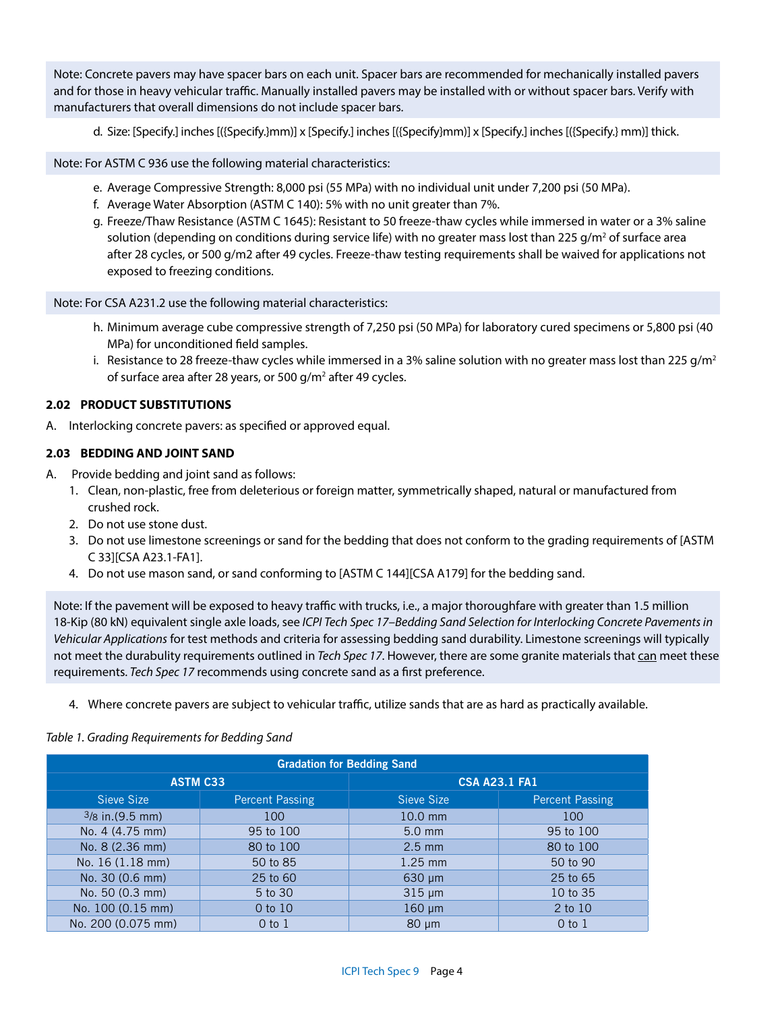Note: Concrete pavers may have spacer bars on each unit. Spacer bars are recommended for mechanically installed pavers and for those in heavy vehicular traffic. Manually installed pavers may be installed with or without spacer bars. Verify with manufacturers that overall dimensions do not include spacer bars.

d. Size: [Specify.] inches [({Specify.}mm)] x [Specify.] inches [({Specify}mm)] x [Specify.] inches [({Specify.} mm)] thick.

Note: For ASTM C 936 use the following material characteristics:

- e. Average Compressive Strength: 8,000 psi (55 MPa) with no individual unit under 7,200 psi (50 MPa).
- f. Average Water Absorption (ASTM C 140): 5% with no unit greater than 7%.
- g. Freeze/Thaw Resistance (ASTM C 1645): Resistant to 50 freeze-thaw cycles while immersed in water or a 3% saline solution (depending on conditions during service life) with no greater mass lost than 225 g/m<sup>2</sup> of surface area after 28 cycles, or 500 g/m2 after 49 cycles. Freeze-thaw testing requirements shall be waived for applications not exposed to freezing conditions.

Note: For CSA A231.2 use the following material characteristics:

- h. Minimum average cube compressive strength of 7,250 psi (50 MPa) for laboratory cured specimens or 5,800 psi (40 MPa) for unconditioned field samples.
- i. Resistance to 28 freeze-thaw cycles while immersed in a 3% saline solution with no greater mass lost than 225 g/m<sup>2</sup> of surface area after 28 years, or 500 g/m<sup>2</sup> after 49 cycles.

## **2.02 PRODUCT SUBSTITUTIONS**

A. Interlocking concrete pavers: as specified or approved equal.

#### **2.03 BEDDING AND JOINT SAND**

- A. Provide bedding and joint sand as follows:
	- 1. Clean, non-plastic, free from deleterious or foreign matter, symmetrically shaped, natural or manufactured from crushed rock.
	- 2. Do not use stone dust.
	- 3. Do not use limestone screenings or sand for the bedding that does not conform to the grading requirements of [ASTM C 33][CSA A23.1-FA1].
	- 4. Do not use mason sand, or sand conforming to [ASTM C 144][CSA A179] for the bedding sand.

Note: If the pavement will be exposed to heavy traffic with trucks, i.e., a major thoroughfare with greater than 1.5 million 18-Kip (80 kN) equivalent single axle loads, see *ICPI Tech Spec 17–Bedding Sand Selection for Interlocking Concrete Pavements in Vehicular Applications* for test methods and criteria for assessing bedding sand durability. Limestone screenings will typically not meet the durabulity requirements outlined in Tech Spec 17. However, there are some granite materials that can meet these requirements. *Tech Spec 17* recommends using concrete sand as a first preference.

4. Where concrete pavers are subject to vehicular traffic, utilize sands that are as hard as practically available.

#### *Table 1. Grading Requirements for Bedding Sand*

| <b>Gradation for Bedding Sand</b> |                        |                      |                        |  |
|-----------------------------------|------------------------|----------------------|------------------------|--|
| <b>ASTM C33</b>                   |                        | <b>CSA A23.1 FA1</b> |                        |  |
| Sieve Size                        | <b>Percent Passing</b> | Sieve Size           | <b>Percent Passing</b> |  |
| $3/8$ in. (9.5 mm)                | 100                    | $10.0$ mm            | 100                    |  |
| No. 4 (4.75 mm)                   | 95 to 100              | $5.0$ mm             | 95 to 100              |  |
| No. 8 (2.36 mm)                   | 80 to 100              | $2.5$ mm             | 80 to 100              |  |
| No. 16 (1.18 mm)                  | 50 to 85               | $1.25$ mm            | 50 to 90               |  |
| No. 30 (0.6 mm)                   | 25 to 60               | $630 \mu m$          | 25 to 65               |  |
| No. 50 (0.3 mm)                   | 5 to 30                | $315 \mu m$          | 10 to 35               |  |
| No. 100 (0.15 mm)                 | 0 to 10                | $160 \mu m$          | 2 to 10                |  |
| No. 200 (0.075 mm)                | $0$ to $1$             | $80 \mu m$           | $0$ to $1$             |  |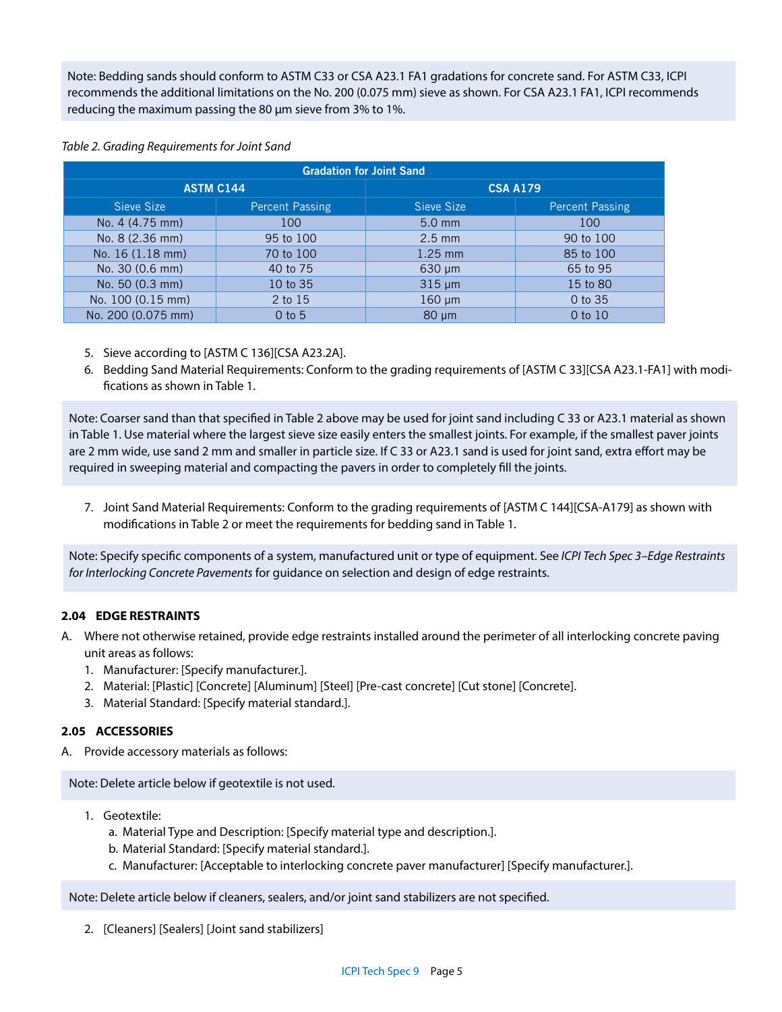Note: Bedding sands should conform to ASTM C33 or CSA A23.1 FA1 gradations for concrete sand. For ASTM C33, ICPI recommends the additional limitations on the No. 200 (0.075 mm) sieve as shown. For CSA A23.1 FA1, ICPI recommends reducing the maximum passing the 80 μm sieve from 3% to 1%.

# *Table 2. Grading Requirements for Joint Sand*

| <b>Gradation for Joint Sand</b> |                        |                 |                        |  |
|---------------------------------|------------------------|-----------------|------------------------|--|
| <b>ASTM C144</b>                |                        | <b>CSA A179</b> |                        |  |
| Sieve Size                      | <b>Percent Passing</b> | Sieve Size      | <b>Percent Passing</b> |  |
| No. 4 (4.75 mm)                 | 100                    | $5.0$ mm        | 100                    |  |
| No. 8 (2.36 mm)                 | 95 to 100              | $2.5$ mm        | 90 to 100              |  |
| No. 16 (1.18 mm)                | 70 to 100              | $1.25$ mm       | 85 to 100              |  |
| No. 30 (0.6 mm)                 | 40 to 75               | 630 µm          | 65 to 95               |  |
| No. 50 (0.3 mm)                 | 10 to 35               | $315 \mu m$     | 15 to 80               |  |
| No. 100 (0.15 mm)               | 2 to 15                | $160 \mu m$     | 0 to 35                |  |
| No. 200 (0.075 mm)              | $0$ to $5$             | $80 \mu m$      | 0 to 10                |  |

- 5. Sieve according to [ASTM C 136][CSA A23.2A].
- 6. Bedding Sand Material Requirements: Conform to the grading requirements of [ASTM C 33][CSA A23.1-FA1] with modifications as shown in Table 1.

Note: Coarser sand than that specified in Table 2 above may be used for joint sand including C 33 or A23.1 material as shown in Table 1. Use material where the largest sieve size easily enters the smallest joints. For example, if the smallest paver joints are 2 mm wide, use sand 2 mm and smaller in particle size. If C 33 or A23.1 sand is used for joint sand, extra effort may be required in sweeping material and compacting the pavers in order to completely fill the joints.

7. Joint Sand Material Requirements: Conform to the grading requirements of [ASTM C 144][CSA-A179] as shown with modifications in Table 2 or meet the requirements for bedding sand in Table 1.

Note: Specify specific components of a system, manufactured unit or type of equipment. See *ICPI Tech Spec 3–Edge Restraints for Interlocking Concrete Pavements* for guidance on selection and design of edge restraints.

# **2.04 EDGE RESTRAINTS**

- A. Where not otherwise retained, provide edge restraints installed around the perimeter of all interlocking concrete paving unit areas as follows:
	- 1. Manufacturer: [Specify manufacturer.].
	- 2. Material: [Plastic] [Concrete] [Aluminum] [Steel] [Pre-cast concrete] [Cut stone] [Concrete].
	- 3. Material Standard: [Specify material standard.].

# **2.05 ACCESSORIES**

A. Provide accessory materials as follows:

Note: Delete article below if geotextile is not used.

- 1. Geotextile:
	- a. Material Type and Description: [Specify material type and description.].
	- b. Material Standard: [Specify material standard.].
	- c. Manufacturer: [Acceptable to interlocking concrete paver manufacturer] [Specify manufacturer.].

## Note: Delete article below if cleaners, sealers, and/or joint sand stabilizers are not specified.

2. [Cleaners] [Sealers] [Joint sand stabilizers]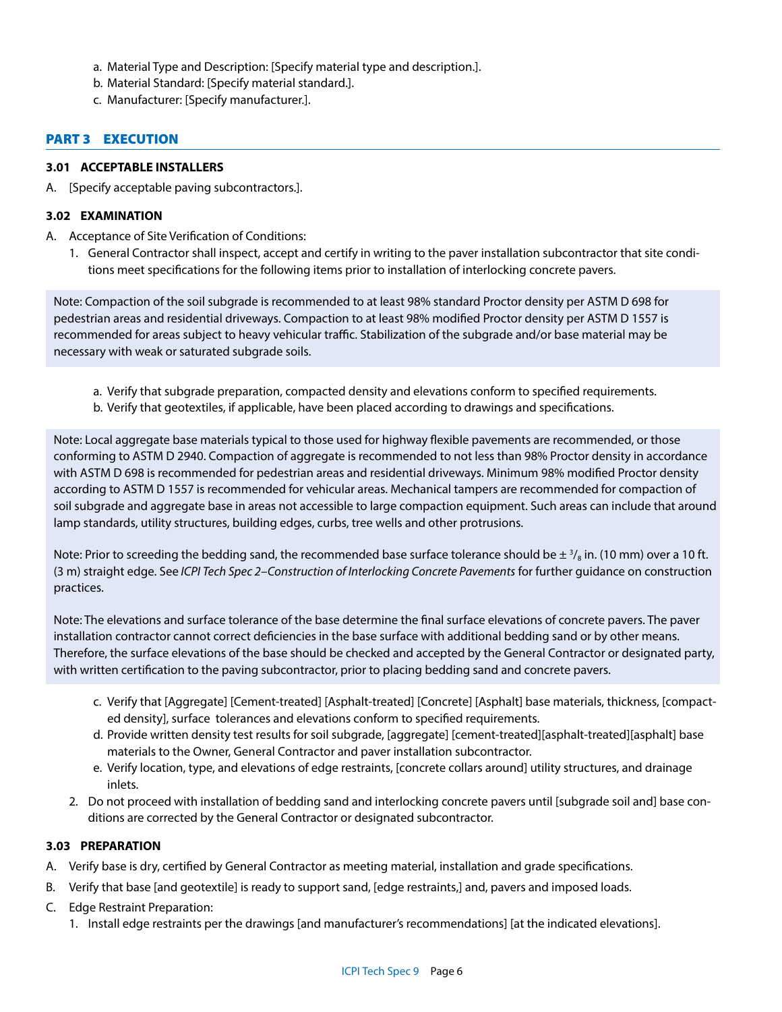- a. Material Type and Description: [Specify material type and description.].
- b. Material Standard: [Specify material standard.].
- c. Manufacturer: [Specify manufacturer.].

# PART 3 EXECUTION

## **3.01 ACCEPTABLE INSTALLERS**

A. [Specify acceptable paving subcontractors.].

## **3.02 EXAMINATION**

- A. Acceptance of Site Verification of Conditions:
	- 1. General Contractor shall inspect, accept and certify in writing to the paver installation subcontractor that site conditions meet specifications for the following items prior to installation of interlocking concrete pavers.

Note: Compaction of the soil subgrade is recommended to at least 98% standard Proctor density per ASTM D 698 for pedestrian areas and residential driveways. Compaction to at least 98% modified Proctor density per ASTM D 1557 is recommended for areas subject to heavy vehicular traffic. Stabilization of the subgrade and/or base material may be necessary with weak or saturated subgrade soils.

- a. Verify that subgrade preparation, compacted density and elevations conform to specified requirements.
- b. Verify that geotextiles, if applicable, have been placed according to drawings and specifications.

Note: Local aggregate base materials typical to those used for highway flexible pavements are recommended, or those conforming to ASTM D 2940. Compaction of aggregate is recommended to not less than 98% Proctor density in accordance with ASTM D 698 is recommended for pedestrian areas and residential driveways. Minimum 98% modified Proctor density according to ASTM D 1557 is recommended for vehicular areas. Mechanical tampers are recommended for compaction of soil subgrade and aggregate base in areas not accessible to large compaction equipment. Such areas can include that around lamp standards, utility structures, building edges, curbs, tree wells and other protrusions.

Note: Prior to screeding the bedding sand, the recommended base surface tolerance should be  $\pm$   $^{3}/_{8}$  in. (10 mm) over a 10 ft. (3 m) straight edge. See *ICPI Tech Spec 2–Construction of Interlocking Concrete Pavements* for further guidance on construction practices.

Note: The elevations and surface tolerance of the base determine the final surface elevations of concrete pavers. The paver installation contractor cannot correct deficiencies in the base surface with additional bedding sand or by other means. Therefore, the surface elevations of the base should be checked and accepted by the General Contractor or designated party, with written certification to the paving subcontractor, prior to placing bedding sand and concrete pavers.

- c. Verify that [Aggregate] [Cement-treated] [Asphalt-treated] [Concrete] [Asphalt] base materials, thickness, [compacted density], surface tolerances and elevations conform to specified requirements.
- d. Provide written density test results for soil subgrade, [aggregate] [cement-treated][asphalt-treated][asphalt] base materials to the Owner, General Contractor and paver installation subcontractor.
- e. Verify location, type, and elevations of edge restraints, [concrete collars around] utility structures, and drainage inlets.
- 2. Do not proceed with installation of bedding sand and interlocking concrete pavers until [subgrade soil and] base conditions are corrected by the General Contractor or designated subcontractor.

## **3.03 PREPARATION**

- A. Verify base is dry, certified by General Contractor as meeting material, installation and grade specifications.
- B. Verify that base [and geotextile] is ready to support sand, [edge restraints,] and, pavers and imposed loads.
- C. Edge Restraint Preparation:
	- 1. Install edge restraints per the drawings [and manufacturer's recommendations] [at the indicated elevations].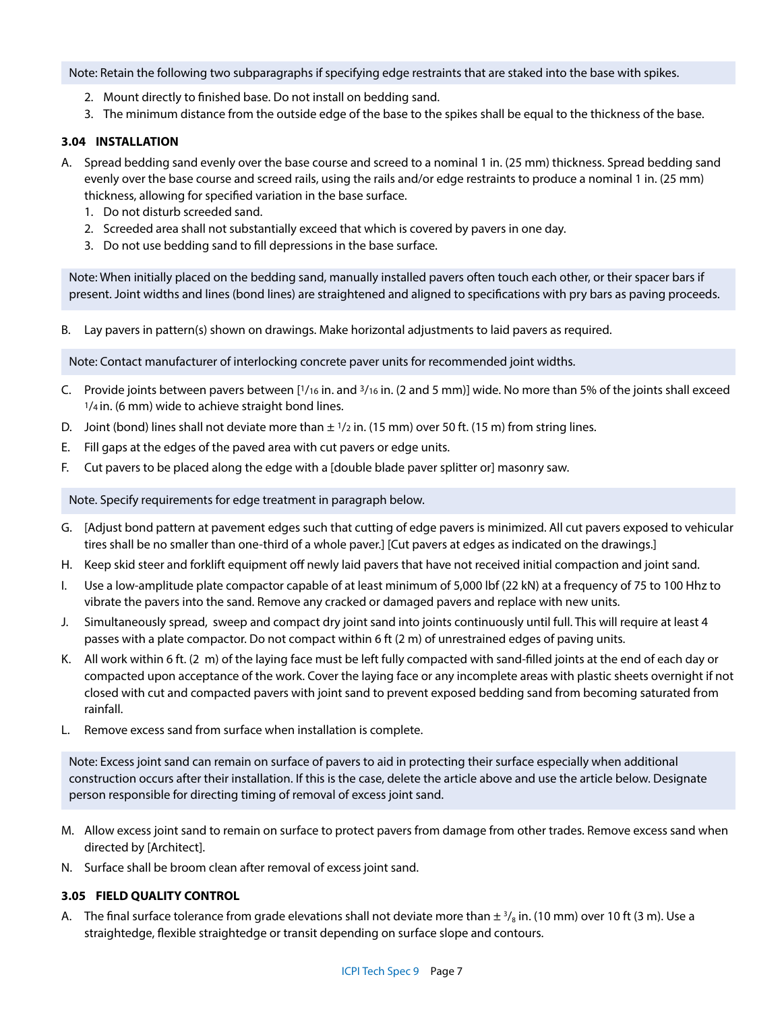Note: Retain the following two subparagraphs if specifying edge restraints that are staked into the base with spikes.

- 2. Mount directly to finished base. Do not install on bedding sand.
- 3. The minimum distance from the outside edge of the base to the spikes shall be equal to the thickness of the base.

## **3.04 INSTALLATION**

- A. Spread bedding sand evenly over the base course and screed to a nominal 1 in. (25 mm) thickness. Spread bedding sand evenly over the base course and screed rails, using the rails and/or edge restraints to produce a nominal 1 in. (25 mm) thickness, allowing for specified variation in the base surface.
	- 1. Do not disturb screeded sand.
	- 2. Screeded area shall not substantially exceed that which is covered by pavers in one day.
	- 3. Do not use bedding sand to fill depressions in the base surface.

Note: When initially placed on the bedding sand, manually installed pavers often touch each other, or their spacer bars if present. Joint widths and lines (bond lines) are straightened and aligned to specifications with pry bars as paving proceeds.

B. Lay pavers in pattern(s) shown on drawings. Make horizontal adjustments to laid pavers as required.

Note: Contact manufacturer of interlocking concrete paver units for recommended joint widths.

- C. Provide joints between pavers between [1/16 in. and 3/16 in. (2 and 5 mm)] wide. No more than 5% of the joints shall exceed  $1/4$  in. (6 mm) wide to achieve straight bond lines.
- D. Joint (bond) lines shall not deviate more than  $\pm 1/z$  in. (15 mm) over 50 ft. (15 m) from string lines.
- E. Fill gaps at the edges of the paved area with cut pavers or edge units.
- F. Cut pavers to be placed along the edge with a [double blade paver splitter or] masonry saw.

Note. Specify requirements for edge treatment in paragraph below.

- G. [Adjust bond pattern at pavement edges such that cutting of edge pavers is minimized. All cut pavers exposed to vehicular tires shall be no smaller than one-third of a whole paver.] [Cut pavers at edges as indicated on the drawings.]
- H. Keep skid steer and forklift equipment off newly laid pavers that have not received initial compaction and joint sand.
- I. Use a low-amplitude plate compactor capable of at least minimum of 5,000 lbf (22 kN) at a frequency of 75 to 100 Hhz to vibrate the pavers into the sand. Remove any cracked or damaged pavers and replace with new units.
- J. Simultaneously spread, sweep and compact dry joint sand into joints continuously until full. This will require at least 4 passes with a plate compactor. Do not compact within 6 ft (2 m) of unrestrained edges of paving units.
- K. All work within 6 ft. (2 m) of the laying face must be left fully compacted with sand-filled joints at the end of each day or compacted upon acceptance of the work. Cover the laying face or any incomplete areas with plastic sheets overnight if not closed with cut and compacted pavers with joint sand to prevent exposed bedding sand from becoming saturated from rainfall.
- L. Remove excess sand from surface when installation is complete.

Note: Excess joint sand can remain on surface of pavers to aid in protecting their surface especially when additional construction occurs after their installation. If this is the case, delete the article above and use the article below. Designate person responsible for directing timing of removal of excess joint sand.

- M. Allow excess joint sand to remain on surface to protect pavers from damage from other trades. Remove excess sand when directed by [Architect].
- N. Surface shall be broom clean after removal of excess joint sand.

## **3.05 FIELD QUALITY CONTROL**

A. The final surface tolerance from grade elevations shall not deviate more than  $\pm \frac{3}{8}$  in. (10 mm) over 10 ft (3 m). Use a straightedge, flexible straightedge or transit depending on surface slope and contours.